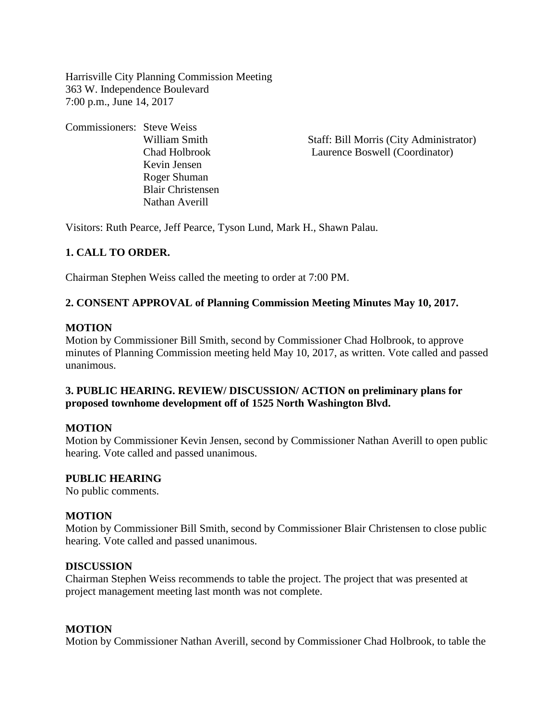Harrisville City Planning Commission Meeting 363 W. Independence Boulevard 7:00 p.m., June 14, 2017

Commissioners: Steve Weiss Kevin Jensen Roger Shuman Blair Christensen Nathan Averill

William Smith Staff: Bill Morris (City Administrator) Chad Holbrook Laurence Boswell (Coordinator)

Visitors: Ruth Pearce, Jeff Pearce, Tyson Lund, Mark H., Shawn Palau.

# **1. CALL TO ORDER.**

Chairman Stephen Weiss called the meeting to order at 7:00 PM.

# **2. CONSENT APPROVAL of Planning Commission Meeting Minutes May 10, 2017.**

### **MOTION**

Motion by Commissioner Bill Smith, second by Commissioner Chad Holbrook, to approve minutes of Planning Commission meeting held May 10, 2017, as written. Vote called and passed unanimous.

# **3. PUBLIC HEARING. REVIEW/ DISCUSSION/ ACTION on preliminary plans for proposed townhome development off of 1525 North Washington Blvd.**

#### **MOTION**

Motion by Commissioner Kevin Jensen, second by Commissioner Nathan Averill to open public hearing. Vote called and passed unanimous.

#### **PUBLIC HEARING**

No public comments.

#### **MOTION**

Motion by Commissioner Bill Smith, second by Commissioner Blair Christensen to close public hearing. Vote called and passed unanimous.

#### **DISCUSSION**

Chairman Stephen Weiss recommends to table the project. The project that was presented at project management meeting last month was not complete.

#### **MOTION**

Motion by Commissioner Nathan Averill, second by Commissioner Chad Holbrook, to table the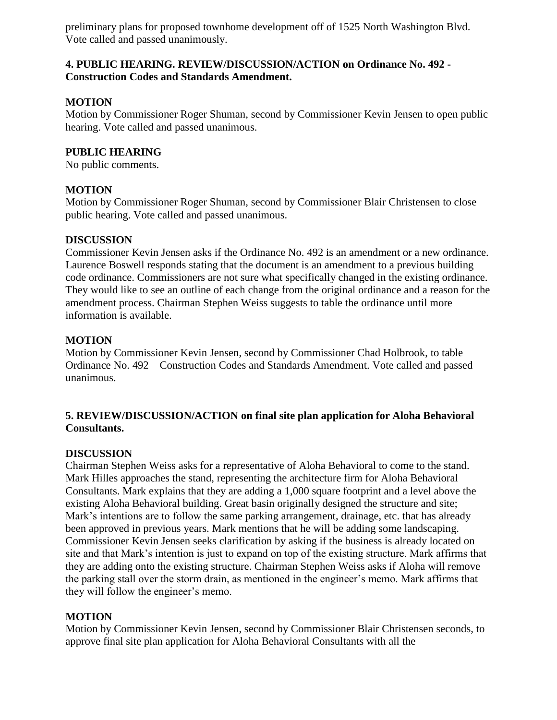preliminary plans for proposed townhome development off of 1525 North Washington Blvd. Vote called and passed unanimously.

### **4. PUBLIC HEARING. REVIEW/DISCUSSION/ACTION on Ordinance No. 492 - Construction Codes and Standards Amendment.**

# **MOTION**

Motion by Commissioner Roger Shuman, second by Commissioner Kevin Jensen to open public hearing. Vote called and passed unanimous.

# **PUBLIC HEARING**

No public comments.

# **MOTION**

Motion by Commissioner Roger Shuman, second by Commissioner Blair Christensen to close public hearing. Vote called and passed unanimous.

# **DISCUSSION**

Commissioner Kevin Jensen asks if the Ordinance No. 492 is an amendment or a new ordinance. Laurence Boswell responds stating that the document is an amendment to a previous building code ordinance. Commissioners are not sure what specifically changed in the existing ordinance. They would like to see an outline of each change from the original ordinance and a reason for the amendment process. Chairman Stephen Weiss suggests to table the ordinance until more information is available.

# **MOTION**

Motion by Commissioner Kevin Jensen, second by Commissioner Chad Holbrook, to table Ordinance No. 492 – Construction Codes and Standards Amendment. Vote called and passed unanimous.

# **5. REVIEW/DISCUSSION/ACTION on final site plan application for Aloha Behavioral Consultants.**

# **DISCUSSION**

Chairman Stephen Weiss asks for a representative of Aloha Behavioral to come to the stand. Mark Hilles approaches the stand, representing the architecture firm for Aloha Behavioral Consultants. Mark explains that they are adding a 1,000 square footprint and a level above the existing Aloha Behavioral building. Great basin originally designed the structure and site; Mark's intentions are to follow the same parking arrangement, drainage, etc. that has already been approved in previous years. Mark mentions that he will be adding some landscaping. Commissioner Kevin Jensen seeks clarification by asking if the business is already located on site and that Mark's intention is just to expand on top of the existing structure. Mark affirms that they are adding onto the existing structure. Chairman Stephen Weiss asks if Aloha will remove the parking stall over the storm drain, as mentioned in the engineer's memo. Mark affirms that they will follow the engineer's memo.

# **MOTION**

Motion by Commissioner Kevin Jensen, second by Commissioner Blair Christensen seconds, to approve final site plan application for Aloha Behavioral Consultants with all the